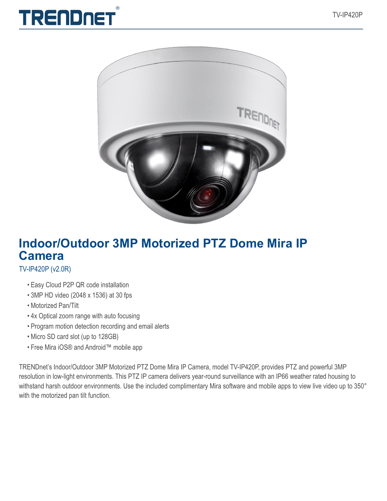



# **Indoor/Outdoor 3MP Motorized PTZ Dome Mira IP Camera**

### TV-IP420P (v2.0R)

- Easy Cloud P2P QR code installation
- 3MP HD video (2048 x 1536) at 30 fps
- Motorized Pan/Tilt
- 4x Optical zoom range with auto focusing
- Program motion detection recording and email alerts
- Micro SD card slot (up to 128GB)
- Free Mira iOS® and Android™ mobile app

TRENDnet's Indoor/Outdoor 3MP Motorized PTZ Dome Mira IP Camera, model TV-IP420P, provides PTZ and powerful 3MP resolution in low-light environments. This PTZ IP camera delivers year-round surveillance with an IP66 weather rated housing to withstand harsh outdoor environments. Use the included complimentary Mira software and mobile apps to view live video up to 350° with the motorized pan tilt function.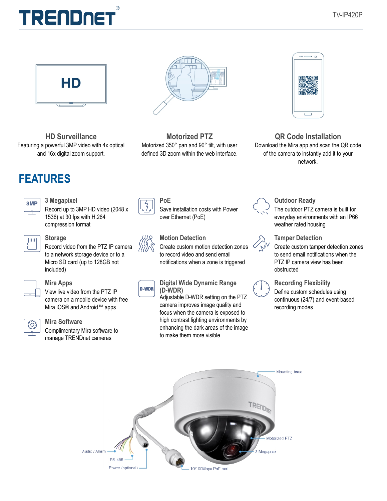# $( R )$ **TRENDNET**



**HD Surveillance** Featuring a powerful 3MP video with 4x optical and 16x digital zoom support.



## **3 Megapixel**

| ٠ |  |
|---|--|
|   |  |
|   |  |

Record up to 3MP HD video (2048 x 1536) at 30 fps with H.264 compression format

#### **Storage**

Record video from the PTZ IP camera to a network storage device or to a Micro SD card (up to 128GB not included)



#### **Mira Apps**

View live video from the PTZ IP camera on a mobile device with free Mira iOS® and Android™ apps



#### **Mira Software**

Complimentary Mira software to manage TRENDnet cameras



**Motorized PTZ** Motorized 350° pan and 90° tilt, with user defined 3D zoom within the web interface.

Save installation costs with Power

Create custom motion detection zones to record video and send email notifications when a zone is triggered

**Digital Wide Dynamic Range** 

to make them more visible

Adjustable D-WDR setting on the PTZ camera improves image quality and focus when the camera is exposed to high contrast lighting environments by enhancing the dark areas of the image

over Ethernet (PoE)

**Motion Detection**

**(D-WDR)**

**D-WDR** 

**PoE**



**QR Code Installation** Download the Mira app and scan the QR code of the camera to instantly add it to your network.



#### **Outdoor Ready** The outdoor PTZ camera is built for everyday environments with an IP66 weather rated housing



**Tamper Detection** Create custom tamper detection zones to send email notifications when the PTZ IP camera view has been obstructed



## **Recording Flexibility**

Define custom schedules using continuous (24/7) and event-based recording modes